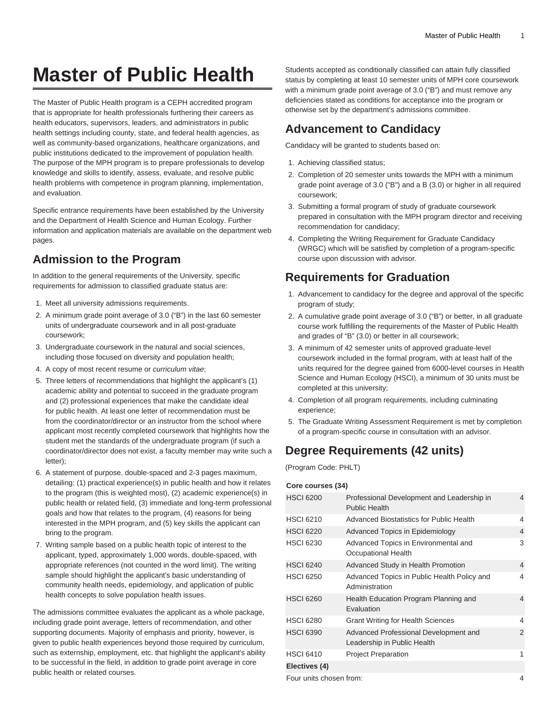# **Master of Public Health**

The Master of Public Health program is a CEPH accredited program that is appropriate for health professionals furthering their careers as health educators, supervisors, leaders, and administrators in public health settings including county, state, and federal health agencies, as well as community-based organizations, healthcare organizations, and public institutions dedicated to the improvement of population health. The purpose of the MPH program is to prepare professionals to develop knowledge and skills to identify, assess, evaluate, and resolve public health problems with competence in program planning, implementation, and evaluation.

Specific entrance requirements have been established by the University and the Department of Health Science and Human Ecology. Further information and application materials are available on the department web pages.

#### **Admission to the Program**

In addition to the general requirements of the University, specific requirements for admission to classified graduate status are:

- 1. Meet all university admissions requirements.
- 2. A minimum grade point average of 3.0 ("B") in the last 60 semester units of undergraduate coursework and in all post-graduate coursework;
- 3. Undergraduate coursework in the natural and social sciences, including those focused on diversity and population health;
- 4. A copy of most recent resume or curriculum vitae;
- 5. Three letters of recommendations that highlight the applicant's (1) academic ability and potential to succeed in the graduate program and (2) professional experiences that make the candidate ideal for public health. At least one letter of recommendation must be from the coordinator/director or an instructor from the school where applicant most recently completed coursework that highlights how the student met the standards of the undergraduate program (if such a coordinator/director does not exist, a faculty member may write such a letter);
- 6. A statement of purpose, double-spaced and 2-3 pages maximum, detailing: (1) practical experience(s) in public health and how it relates to the program (this is weighted most), (2) academic experience(s) in public health or related field, (3) immediate and long-term professional goals and how that relates to the program, (4) reasons for being interested in the MPH program, and (5) key skills the applicant can bring to the program.
- 7. Writing sample based on a public health topic of interest to the applicant, typed, approximately 1,000 words, double-spaced, with appropriate references (not counted in the word limit). The writing sample should highlight the applicant's basic understanding of community health needs, epidemiology, and application of public health concepts to solve population health issues.

The admissions committee evaluates the applicant as a whole package, including grade point average, letters of recommendation, and other supporting documents. Majority of emphasis and priority, however, is given to public health experiences beyond those required by curriculum, such as externship, employment, etc. that highlight the applicant's ability to be successful in the field, in addition to grade point average in core public health or related courses.

Students accepted as conditionally classified can attain fully classified status by completing at least 10 semester units of MPH core coursework with a minimum grade point average of 3.0 ("B") and must remove any deficiencies stated as conditions for acceptance into the program or otherwise set by the department's admissions committee.

#### **Advancement to Candidacy**

Candidacy will be granted to students based on:

- 1. Achieving classified status;
- 2. Completion of 20 semester units towards the MPH with a minimum grade point average of 3.0 ("B") and a B (3.0) or higher in all required coursework;
- 3. Submitting a formal program of study of graduate coursework prepared in consultation with the MPH program director and receiving recommendation for candidacy;
- 4. Completing the Writing Requirement for Graduate Candidacy (WRGC) which will be satisfied by completion of a program-specific course upon discussion with advisor.

#### **Requirements for Graduation**

- 1. Advancement to candidacy for the degree and approval of the specific program of study;
- 2. A cumulative grade point average of 3.0 ("B") or better, in all graduate course work fulfilling the requirements of the Master of Public Health and grades of "B" (3.0) or better in all coursework;
- 3. A minimum of 42 semester units of approved graduate-level coursework included in the formal program, with at least half of the units required for the degree gained from 6000-level courses in Health Science and Human Ecology (HSCI), a minimum of 30 units must be completed at this university;
- 4. Completion of all program requirements, including culminating experience;
- 5. The Graduate Writing Assessment Requirement is met by completion of a program-specific course in consultation with an advisor.

### **Degree Requirements (42 units)**

(Program Code: PHLT)

#### **Core courses (34)**

| <b>HSCI 6200</b>        | Professional Development and Leadership in<br>Public Health          | 4 |
|-------------------------|----------------------------------------------------------------------|---|
| <b>HSCI 6210</b>        | <b>Advanced Biostatistics for Public Health</b>                      | 4 |
| <b>HSCI 6220</b>        | Advanced Topics in Epidemiology                                      | 4 |
| <b>HSCI 6230</b>        | Advanced Topics in Environmental and<br>Occupational Health          | 3 |
| <b>HSCI 6240</b>        | Advanced Study in Health Promotion                                   | 4 |
| <b>HSCI 6250</b>        | Advanced Topics in Public Health Policy and<br>Administration        | 4 |
| <b>HSCI 6260</b>        | Health Education Program Planning and<br>Evaluation                  | 4 |
| <b>HSCI 6280</b>        | <b>Grant Writing for Health Sciences</b>                             | 4 |
| <b>HSCI 6390</b>        | Advanced Professional Development and<br>Leadership in Public Health | 2 |
| <b>HSCI 6410</b>        | <b>Project Preparation</b>                                           | 1 |
| Electives (4)           |                                                                      |   |
| Four units chosen from: |                                                                      |   |